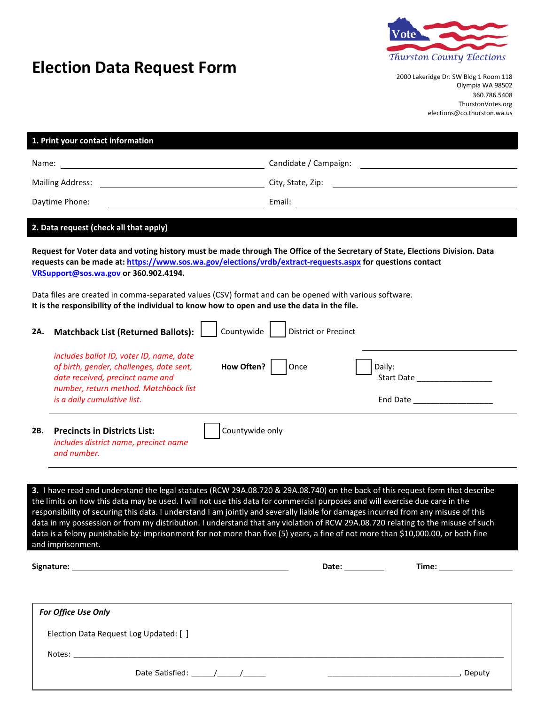PO Box 400, 411 N 5th St, Shelton, WA 98584 Phone: (360) 427-9670 ext. 470 Fax: (360) 427-1753 Web: www.masoncountyelections.us Email: elections@masoncountywa.gov

## **Request for Registered Voter Data**

|                         | 1. Print your contact information                                                                                                                                                                              |                                                                                                                                                                                                                                                                                                                                                                                                                                                                                                                                                                                                                                                                          |  |
|-------------------------|----------------------------------------------------------------------------------------------------------------------------------------------------------------------------------------------------------------|--------------------------------------------------------------------------------------------------------------------------------------------------------------------------------------------------------------------------------------------------------------------------------------------------------------------------------------------------------------------------------------------------------------------------------------------------------------------------------------------------------------------------------------------------------------------------------------------------------------------------------------------------------------------------|--|
| Name:                   |                                                                                                                                                                                                                | Candidate / Campaign:                                                                                                                                                                                                                                                                                                                                                                                                                                                                                                                                                                                                                                                    |  |
| <b>Mailing Address:</b> |                                                                                                                                                                                                                | City, State, Zip:                                                                                                                                                                                                                                                                                                                                                                                                                                                                                                                                                                                                                                                        |  |
| Daytime Phone:          |                                                                                                                                                                                                                | Email:                                                                                                                                                                                                                                                                                                                                                                                                                                                                                                                                                                                                                                                                   |  |
|                         |                                                                                                                                                                                                                |                                                                                                                                                                                                                                                                                                                                                                                                                                                                                                                                                                                                                                                                          |  |
|                         | 2. Data request (check all that apply)                                                                                                                                                                         |                                                                                                                                                                                                                                                                                                                                                                                                                                                                                                                                                                                                                                                                          |  |
|                         | https://www.sos.wa.gov/elections/research/ballot-return-statistics.aspx                                                                                                                                        | Matchbacks are available after our results upload to the Secretary of State after 5pm at                                                                                                                                                                                                                                                                                                                                                                                                                                                                                                                                                                                 |  |
|                         | Data files are created in comma-separated values (CSV) format and can be opened with various software.<br>It is the responsibility of the individual to know how to open and use the data in the file.         |                                                                                                                                                                                                                                                                                                                                                                                                                                                                                                                                                                                                                                                                          |  |
| 2A.                     | Countywide<br><b>Matchback List (Returned Ballots):</b>                                                                                                                                                        | <b>District or Precinct</b>                                                                                                                                                                                                                                                                                                                                                                                                                                                                                                                                                                                                                                              |  |
|                         | includes ballot ID, voter ID, name, date<br>How Often?<br>of birth, gender, challenges, date sent,<br>date received, precinct name and<br>number, return method. Matchback list<br>is a daily cumulative list. | Once<br>Daily:<br>Start Date<br>End Date _____________________                                                                                                                                                                                                                                                                                                                                                                                                                                                                                                                                                                                                           |  |
| 2B.                     | <b>Precincts in Districts List:</b><br>includes district name, precinct name<br>and number.                                                                                                                    | Countywide only                                                                                                                                                                                                                                                                                                                                                                                                                                                                                                                                                                                                                                                          |  |
|                         |                                                                                                                                                                                                                |                                                                                                                                                                                                                                                                                                                                                                                                                                                                                                                                                                                                                                                                          |  |
|                         | and imprisonment.                                                                                                                                                                                              | 3. I have read and understand the legal statutes (RCW 29A.08.720 & 29A.08.740) on the back of this request form that describe<br>the limits on how this data may be used. I will not use this data for commercial purposes and will exercise due care in the<br>responsibility of securing this data. I understand I am jointly and severally liable for damages incurred from any misuse of this<br>data in my possession or from my distribution. I understand that any violation of RCW 29A.08.720 relating to the misuse of such<br>data is a felony punishable by: imprisonment for not more than five (5) years, a fine of not more than \$10,000.00, or both fine |  |
|                         |                                                                                                                                                                                                                | Date: $\_\_$                                                                                                                                                                                                                                                                                                                                                                                                                                                                                                                                                                                                                                                             |  |
|                         |                                                                                                                                                                                                                |                                                                                                                                                                                                                                                                                                                                                                                                                                                                                                                                                                                                                                                                          |  |
|                         | For Office Use Only                                                                                                                                                                                            |                                                                                                                                                                                                                                                                                                                                                                                                                                                                                                                                                                                                                                                                          |  |
|                         | Election Data Request Log Updated: [ ]                                                                                                                                                                         |                                                                                                                                                                                                                                                                                                                                                                                                                                                                                                                                                                                                                                                                          |  |
|                         |                                                                                                                                                                                                                |                                                                                                                                                                                                                                                                                                                                                                                                                                                                                                                                                                                                                                                                          |  |
|                         |                                                                                                                                                                                                                | , Deputy<br><u> 2000 - Jan James James Barnett, fransk politik (d. 18</u>                                                                                                                                                                                                                                                                                                                                                                                                                                                                                                                                                                                                |  |